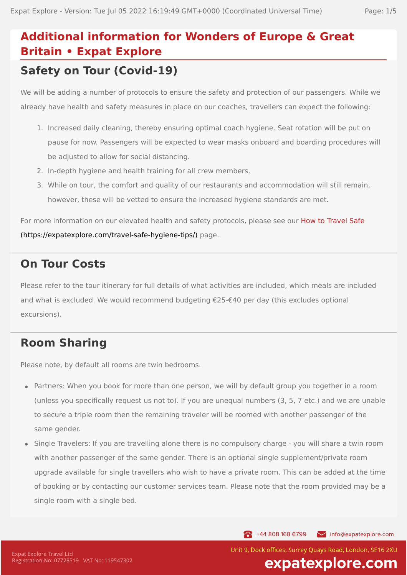# **Additional information for Wonders of Europe & Great Britain • Expat Explore Safety on Tour (Covid-19)**

### We will be adding a number of protocols to ensure the safety and protection of our passengers. While we already have health and safety measures in place on our coaches, travellers can expect the following:

- 1. Increased daily cleaning, thereby ensuring optimal coach hygiene. Seat rotation will be put on pause for now. Passengers will be expected to wear masks onboard and boarding procedures will be adjusted to allow for social distancing.
- 2. In-depth hygiene and health training for all crew members.
- 3. While on tour, the comfort and quality of our restaurants and accommodation will still remain, however, these will be vetted to ensure the increased hygiene standards are met.

For more information on our elevated health and safety protocols, please see our How to Travel Safe [\(https://expatexplore.com/travel-safe-hygiene-tips/\)](https://expatexplore.com/travel-safe-hygiene-tips/) page.

### **On Tour Costs**

Please refer to the tour itinerary for full details of what activities are included, which meals are included and what is excluded. We would recommend budgeting €25-€40 per day (this excludes optional excursions).

# **Room Sharing**

Please note, by default all rooms are twin bedrooms.

- Partners: When you book for more than one person, we will by default group you together in a room (unless you specifically request us not to). If you are unequal numbers (3, 5, 7 etc.) and we are unable to secure a triple room then the remaining traveler will be roomed with another passenger of the same gender.
- Single Travelers: If you are travelling alone there is no compulsory charge you will share a twin room with another passenger of the same gender. There is an optional single supplement/private room upgrade available for single travellers who wish to have a private room. This can be added at the time of booking or by contacting our customer services team. Please note that the room provided may be a single room with a single bed.

144 808 168 6799

info@expatexplore.com

Unit 9, Dock offices, Surrey Ouays Road, London, SE16 2XU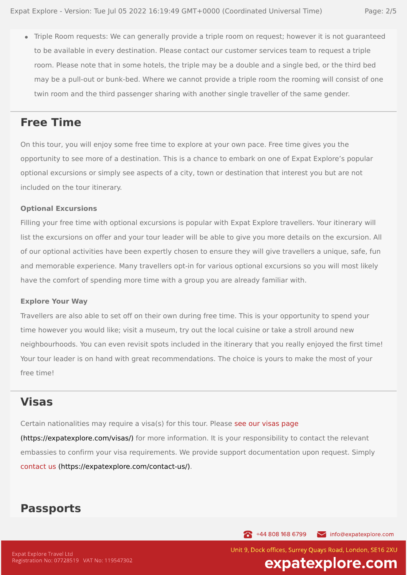Triple Room requests: We can generally provide a triple room on request; however it is not guaranteed to be available in every destination. Please contact our customer services team to request a triple room. Please note that in some hotels, the triple may be a double and a single bed, or the third bed may be a pull-out or bunk-bed. Where we cannot provide a triple room the rooming will consist of one twin room and the third passenger sharing with another single traveller of the same gender.

#### **Free Time**

On this tour, you will enjoy some free time to explore at your own pace. Free time gives you the opportunity to see more of a destination. This is a chance to embark on one of Expat Explore's popular optional excursions or simply see aspects of a city, town or destination that interest you but are not included on the tour itinerary.

#### **Optional Excursions**

Filling your free time with optional excursions is popular with Expat Explore travellers. Your itinerary will list the excursions on offer and your tour leader will be able to give you more details on the excursion. All of our optional activities have been expertly chosen to ensure they will give travellers a unique, safe, fun and memorable experience. Many travellers opt-in for various optional excursions so you will most likely have the comfort of spending more time with a group you are already familiar with.

#### **Explore Your Way**

Travellers are also able to set off on their own during free time. This is your opportunity to spend your time however you would like; visit a museum, try out the local cuisine or take a stroll around new neighbourhoods. You can even revisit spots included in the itinerary that you really enjoyed the first time! Your tour leader is on hand with great recommendations. The choice is yours to make the most of your free time!

#### **Visas**

Certain nationalities may require a visa(s) for this tour. Please see our visas page [\(https://expatexplore.com/visas/\)](https://expatexplore.com/visas/) for more information. It is your responsibility to contact the relevant embassies to confirm your visa requirements. We provide support documentation upon request. Simply contact us [\(https://expatexplore.com/contact-us/\).](https://expatexplore.com/contact-us/)

#### **Passports**

144 808 168 6799 info@expatexplore.com

**Expat Explore Travel Ltd** Registration No: 07728519 VAT No: 119547302 Unit 9, Dock offices, Surrey Ouays Road, London, SE16 2XU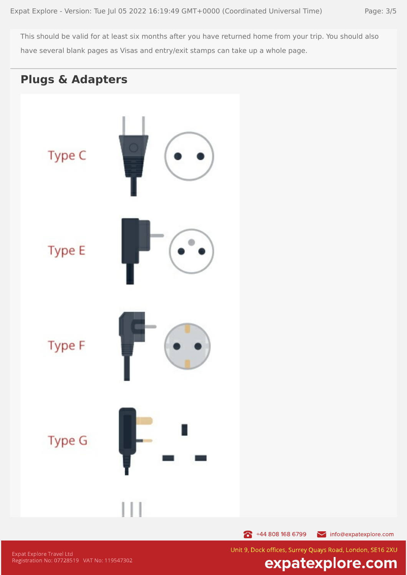This should be valid for at least six months after you have returned home from your trip. You should also have several blank pages as Visas and entry/exit stamps can take up a whole page.



144 808 168 6799 info@expatexplore.com

**Expat Explore Travel Ltd** Registration No: 07728519 VAT No: 119547302 Unit 9, Dock offices, Surrey Quays Road, London, SE16 2XU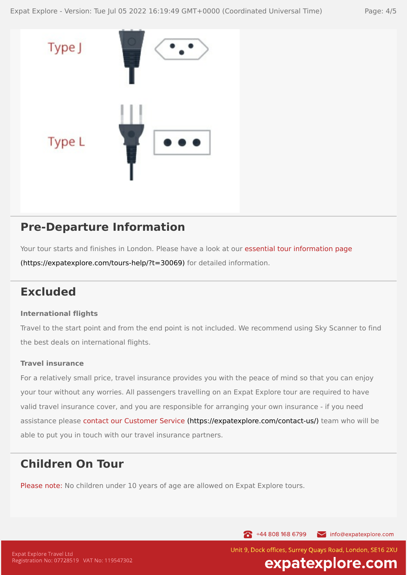

### **Pre-Departure Information**

Your tour starts and finishes in London. Please have a look at our essential tour information page [\(https://expatexplore.com/tours-help/?t=30069\)](https://expatexplore.com/tours-help/?t=30069) for detailed information.

# **Excluded**

#### **International flights**

Travel to the start point and from the end point is not included. We recommend using Sky Scanner to find the best deals on international flights.

#### **Travel insurance**

For a relatively small price, travel insurance provides you with the peace of mind so that you can enjoy your tour without any worries. All passengers travelling on an Expat Explore tour are required to have valid travel insurance cover, and you are responsible for arranging your own insurance - if you need assistance please contact our Customer Service [\(https://expatexplore.com/contact-us/\)](https://expatexplore.com/contact-us/) team who will be able to put you in touch with our travel insurance partners.

# **Children On Tour**

Please note: No children under 10 years of age are allowed on Expat Explore tours.

144 808 168 6799 info@expatexplore.com

Unit 9, Dock offices, Surrey Ouays Road, London, SE16 2XU